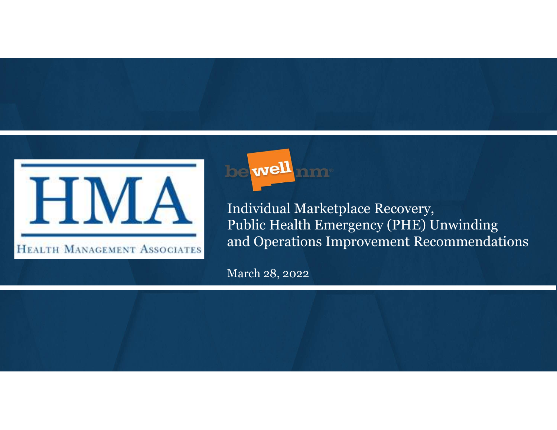



Individual Marketplace Recovery, Public Health Emergency (PHE) Unwinding and Operations Improvement Recommendations

March 28, 2022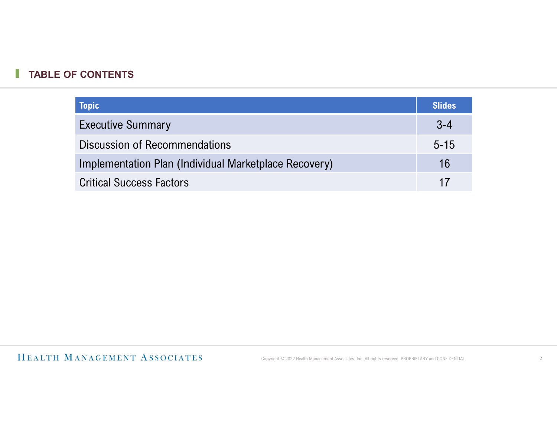## **TABLE OF CONTENTS**

| <b>CONTENTS</b><br>Topic<br><b>Executive Summary</b><br><b>Discussion of Recommendations</b><br>Implementation Plan (Individual Marketplace Recovery) |               |
|-------------------------------------------------------------------------------------------------------------------------------------------------------|---------------|
|                                                                                                                                                       |               |
|                                                                                                                                                       |               |
|                                                                                                                                                       |               |
|                                                                                                                                                       |               |
|                                                                                                                                                       |               |
|                                                                                                                                                       |               |
|                                                                                                                                                       | <b>Slides</b> |
|                                                                                                                                                       | $3 - 4$       |
|                                                                                                                                                       | $5 - 15$      |
|                                                                                                                                                       | 16            |
| <b>Critical Success Factors</b>                                                                                                                       | 17            |
|                                                                                                                                                       |               |

HEALTH MANAGEMENT ASSOCIATES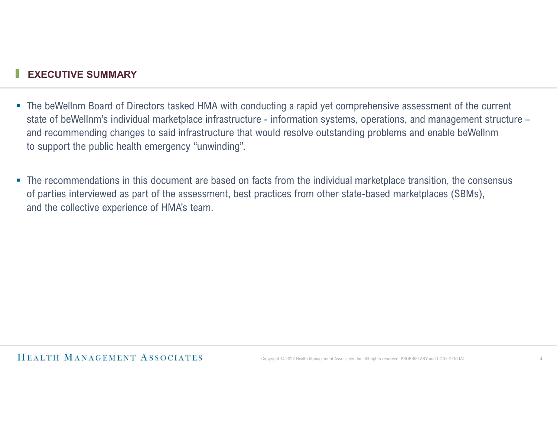## EXECUTIVE SUMMARY

- The beWellnm Board of Directors tasked HMA with conducting a rapid yet comprehensive assessment of the current EXECUTIVE SUMMARY<br>The beWellnm Board of Directors tasked HMA with conducting a rapid yet comprehensive assessment of the current<br>state of beWellnm's individual marketplace infrastructure - information systems, operations, and recommending changes to said infrastructure that would resolve outstanding problems and enable beWellnm to support the public health emergency "unwinding".
- The recommendations in this document are based on facts from the individual marketplace transition, the consensus of parties interviewed as part of the assessment, best practices from other state-based marketplaces (SBMs), and the collective experience of HMA's team.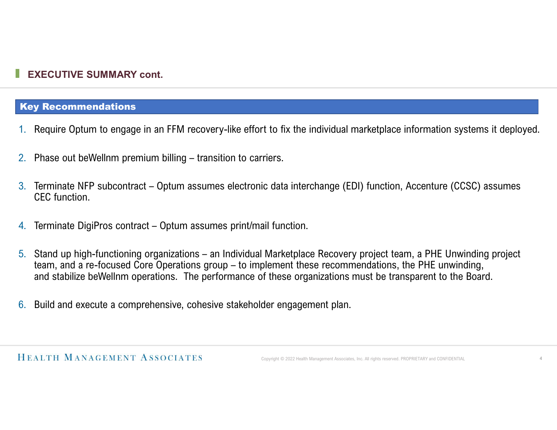## EXECUTIVE SUMMARY cont.

## Key Recommendations

- 1. Require Optum to engage in an FFM recovery-like effort to fix the individual marketplace information systems it deployed.
- 
- 2. Phase out beWellnm premium billing transition to carriers.<br>2. Phase out beWellnm premium billing transition to carriers.<br>2. Phase out beWellnm premium billing transition to carriers.<br>3. Terminate NFP subcontract 3. Terminate NFP subcontract – Optum assumes electronic data interchange (EDI) function, Accenture (CCSC) assumes<br>3. Terminate NFP subcontract – Optum assumes electronic data interchange (EDI) function, Accenture (CCSC) as C<sub>EC</sub> function
- 
- Exact TIVE SUMMARY cont.<br>
1. Require Optum to engage in an FFM recovery-like effort to fix the individual marketpla<br>
2. Phase out beWellnm premium billing transition to carriers.<br>
3. Terminate NFP subcontract Optum ass EXECUTIVE SUMMARY cont.<br>
1. Require Optum to engage in an FFM recovery-like effort to fix the individual marketplace information systems it deployed.<br>
2. Phase out beWellnm premium billing – transition to carriers.<br>
3. Ter **Recommendations**<br>
Require Optum to engage in an FFM recovery-like effort to fix the individual marketplace information systems it deployed.<br>
Phase out beWellnm premium billing – transition to carriers.<br>
Terminate NFP subc and stabilize beWellnm operations. The performance of these organizations must be transparent to the Board.
- 6. Build and execute a comprehensive, cohesive stakeholder engagement plan.

HEALTH MANAGEMENT ASSOCIATES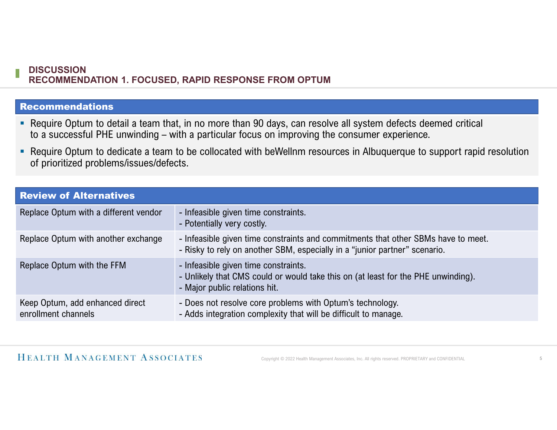## **DISCUSSION** RECOMMENDATION 1. FOCUSED, RAPID RESPONSE FROM OPTUM

## Recommendations

- Require Optum to detail a team that, in no more than 90 days, can resolve all system defects deemed critical
- THE UNIVELTATION 1. FOCUSED, RAPID RESPONSE FROM OPTUM<br>
Recommendations<br>
Require Optum to detail a team that, in no more than 90 days, can resolve all system defects deemed critical<br>
The consumer experience.<br>
Require Optum of prioritized problems/issues/defects.

| <b>DISCUSSION</b>                                      | <b>RECOMMENDATION 1. FOCUSED, RAPID RESPONSE FROM OPTUM</b>                                                                                                                                                     |
|--------------------------------------------------------|-----------------------------------------------------------------------------------------------------------------------------------------------------------------------------------------------------------------|
|                                                        |                                                                                                                                                                                                                 |
| <b>Recommendations</b>                                 |                                                                                                                                                                                                                 |
|                                                        | • Require Optum to detail a team that, in no more than 90 days, can resolve all system defects deemed critical<br>to a successful PHE unwinding – with a particular focus on improving the consumer experience. |
| of prioritized problems/issues/defects.                | - Require Optum to dedicate a team to be collocated with beWellnm resources in Albuquerque to support rapid resolution                                                                                          |
| <b>Review of Alternatives</b>                          |                                                                                                                                                                                                                 |
| Replace Optum with a different vendor                  | - Infeasible given time constraints.<br>- Potentially very costly.                                                                                                                                              |
| Replace Optum with another exchange                    | - Infeasible given time constraints and commitments that other SBMs have to meet.<br>- Risky to rely on another SBM, especially in a "junior partner" scenario.                                                 |
| Replace Optum with the FFM                             | - Infeasible given time constraints.<br>- Unlikely that CMS could or would take this on (at least for the PHE unwinding).<br>- Major public relations hit.                                                      |
| Keep Optum, add enhanced direct<br>enrollment channels | - Does not resolve core problems with Optum's technology.<br>- Adds integration complexity that will be difficult to manage.                                                                                    |
|                                                        |                                                                                                                                                                                                                 |
| <b>HEALTH MANAGEMENT ASSOCIATES</b>                    | Convright © 2022 Health Management Associates Jnc. All rights reserved. PROPRIFTARY and CONFIDENTIA                                                                                                             |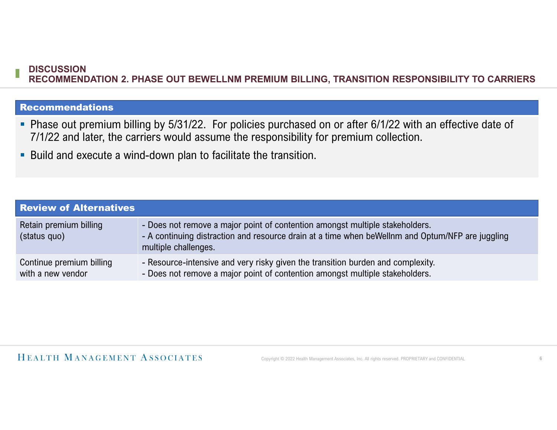## **DISCUSSION** RECOMMENDATION 2. PHASE OUT BEWELLNM PREMIUM BILLING, TRANSITION RESPONSIBILITY TO CARRIERS

## Recommendations

- Phase out premium billing by 5/31/22. For policies purchased on or after 6/1/22 with an effective date of 7/1/22 and later, the carriers would assume the responsibility for premium collection.
- Build and execute a wind-down plan to facilitate the transition.

| <b>DISCUSSION</b>                             |                                                                                                                                                                                                          |
|-----------------------------------------------|----------------------------------------------------------------------------------------------------------------------------------------------------------------------------------------------------------|
|                                               | RECOMMENDATION 2. PHASE OUT BEWELLNM PREMIUM BILLING, TRANSITION RESPONSIBILITY TO CARRIERS                                                                                                              |
|                                               |                                                                                                                                                                                                          |
| <b>Recommendations</b>                        |                                                                                                                                                                                                          |
|                                               | • Phase out premium billing by 5/31/22. For policies purchased on or after 6/1/22 with an effective date of<br>7/1/22 and later, the carriers would assume the responsibility for premium collection.    |
|                                               | • Build and execute a wind-down plan to facilitate the transition.                                                                                                                                       |
| <b>Review of Alternatives</b>                 |                                                                                                                                                                                                          |
| Retain premium billing<br>(status quo)        | - Does not remove a major point of contention amongst multiple stakeholders.<br>- A continuing distraction and resource drain at a time when beWellnm and Optum/NFP are juggling<br>multiple challenges. |
| Continue premium billing<br>with a new vendor | - Resource-intensive and very risky given the transition burden and complexity.<br>- Does not remove a major point of contention amongst multiple stakeholders.                                          |
|                                               |                                                                                                                                                                                                          |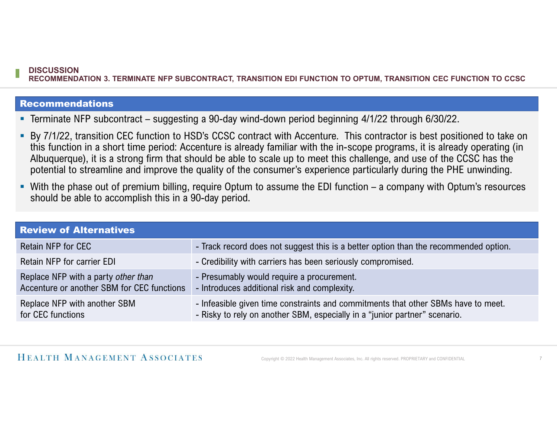## **DISCUSSION** RECOMMENDATION 3. TERMINATE NFP SUBCONTRACT, TRANSITION EDI FUNCTION TO OPTUM, TRANSITION CEC FUNCTION TO CCSC

## Recommendations

- 
- THE SUBCUSSION<br>
THE SUBCOMMENDATION 3. TERMINATE NFP SUBCONTRACT, TRANSITION EDIFUNCTION TO OPTUM, TRANSITION CEC FUNCTION TO CCSC<br>
THE THE SUBCONTRACT suggesting a 90-day wind-down period beginning 4/1/22 through 6/30/2 this function in a short time period: Accenture is already familiar with the in-scope programs, it is already operating (in Albuquerque), it is a strong firm that should be able to scale up to meet this challenge, and use of the CCSC has the potential to streamline and improve the quality of the consumer's experience particularly during the PHE unwinding. DISCUSSION<br>
RECOMMENDATION 3. TERMINATE NPP SUBCONTRACT, TRANSITION EDI FUNCTION TO OPTUM, TRANSITION CEC FUNCTION TO CCSC<br>
Terminate NPP subcontract – suggesting a 90-day wind-down period beginning 4/1/22 through 6/30/22.
- should be able to accomplish this in a 90-day period.

| <b>DISCUSSION</b>                                                                 | RECOMMENDATION 3. TERMINATE NFP SUBCONTRACT, TRANSITION EDI FUNCTION TO OPTUM, TRANSITION CEC FUNCTION TO CCSC                                                                                                                                                                                                                                                                                                                                                                                           |  |
|-----------------------------------------------------------------------------------|----------------------------------------------------------------------------------------------------------------------------------------------------------------------------------------------------------------------------------------------------------------------------------------------------------------------------------------------------------------------------------------------------------------------------------------------------------------------------------------------------------|--|
| <b>Recommendations</b>                                                            |                                                                                                                                                                                                                                                                                                                                                                                                                                                                                                          |  |
|                                                                                   | <b>Terminate NFP subcontract - suggesting a 90-day wind-down period beginning 4/1/22 through 6/30/22.</b>                                                                                                                                                                                                                                                                                                                                                                                                |  |
|                                                                                   | • By 7/1/22, transition CEC function to HSD's CCSC contract with Accenture. This contractor is best positioned to take on<br>this function in a short time period: Accenture is already familiar with the in-scope programs, it is already operating (in<br>Albuquerque), it is a strong firm that should be able to scale up to meet this challenge, and use of the CCSC has the<br>potential to streamline and improve the quality of the consumer's experience particularly during the PHE unwinding. |  |
| should be able to accomplish this in a 90-day period.                             | • With the phase out of premium billing, require Optum to assume the EDI function – a company with Optum's resources                                                                                                                                                                                                                                                                                                                                                                                     |  |
|                                                                                   |                                                                                                                                                                                                                                                                                                                                                                                                                                                                                                          |  |
| <b>Review of Alternatives</b>                                                     |                                                                                                                                                                                                                                                                                                                                                                                                                                                                                                          |  |
| <b>Retain NFP for CEC</b>                                                         | - Track record does not suggest this is a better option than the recommended option.                                                                                                                                                                                                                                                                                                                                                                                                                     |  |
| <b>Retain NFP for carrier EDI</b>                                                 | - Credibility with carriers has been seriously compromised.                                                                                                                                                                                                                                                                                                                                                                                                                                              |  |
| Replace NFP with a party other than<br>Accenture or another SBM for CEC functions | - Presumably would require a procurement.<br>- Introduces additional risk and complexity.                                                                                                                                                                                                                                                                                                                                                                                                                |  |
| Replace NFP with another SBM<br>for CEC functions                                 | - Infeasible given time constraints and commitments that other SBMs have to meet.<br>- Risky to rely on another SBM, especially in a "junior partner" scenario.                                                                                                                                                                                                                                                                                                                                          |  |
|                                                                                   |                                                                                                                                                                                                                                                                                                                                                                                                                                                                                                          |  |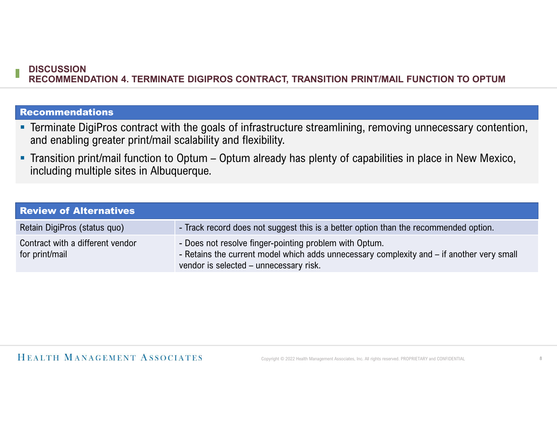## **DISCUSSION** RECOMMENDATION 4. TERMINATE DIGIPROS CONTRACT, TRANSITION PRINT/MAIL FUNCTION TO OPTUM

## Recommendations

- Terminate DigiPros contract with the goals of infrastructure streamlining, removing unnecessary contention, and enabling greater print/mail scalability and flexibility.
- DISCUSSION<br>RECOMMENDATION 4. TERMINATE DIGIPROS CONTRACT, TRANSITION PRINT/MAIL FUNCTION TO OPTUM<br>Recommendations<br>Terminate DigiPros contract with the goals of infrastructure streamlining, removing unnecessary contention,<br> including multiple sites in Albuquerque.

| <b>DISCUSSION</b>                        | RECOMMENDATION 4. TERMINATE DIGIPROS CONTRACT, TRANSITION PRINT/MAIL FUNCTION TO OPTUM                                                                                        |
|------------------------------------------|-------------------------------------------------------------------------------------------------------------------------------------------------------------------------------|
|                                          |                                                                                                                                                                               |
| <b>Recommendations</b>                   |                                                                                                                                                                               |
|                                          | • Terminate DigiPros contract with the goals of infrastructure streamlining, removing unnecessary contention,<br>and enabling greater print/mail scalability and flexibility. |
| including multiple sites in Albuquerque. | ■ Transition print/mail function to Optum – Optum already has plenty of capabilities in place in New Mexico,                                                                  |
|                                          |                                                                                                                                                                               |
| <b>Review of Alternatives</b>            |                                                                                                                                                                               |
| Retain DigiPros (status quo)             | - Track record does not suggest this is a better option than the recommended option.                                                                                          |

HEALTH MANAGEMENT ASSOCIATES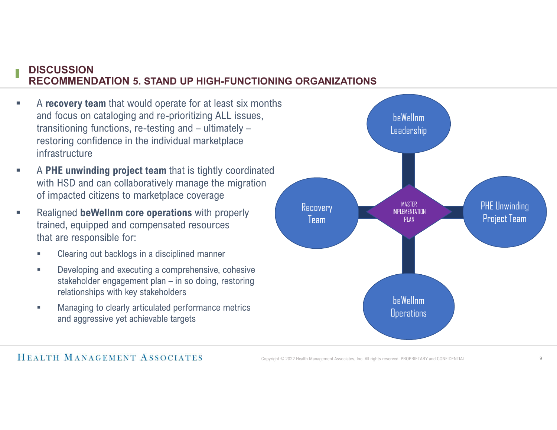## **DISCUSSION** RECOMMENDATION 5. STAND UP HIGH-FUNCTIONING ORGANIZATIONS

- A recovery team that would operate for at least six months and focus on cataloging and re-prioritizing ALL issues, **ISCUSSION**<br> **ECOMMENDATION 5. STAND UP HIGH-FUNCTIONING ORGANIZATIONS**<br>
A recovery team that would operate for at least six months<br>
and focus on cataloging and re-prioritizing ALL issues,<br>
transitioning functions, re-test restoring confidence in the individual marketplace infrastructure
- A PHE unwinding project team that is tightly coordinated with HSD and can collaboratively manage the migration of impacted citizens to marketplace coverage
- Realigned beWellnm core operations with properly trained, equipped and compensated resources that are responsible for:
	- **EXECT** Clearing out backlogs in a disciplined manner
	- **Developing and executing a comprehensive, cohesive** relationships with key stakeholders
	- **Managing to clearly articulated performance metrics** and aggressive yet achievable targets



## HEALTH MANAGEMENT ASSOCIATES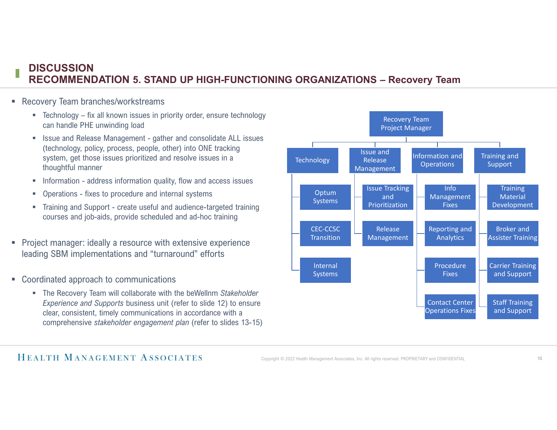# **DISCUSSION<br>RECOMMENDATION 5. STAND UP HIGH-FUNCTIONING ORGAN**<br>covery Team branches/workstreams<br>Fechnology – fix all known issues in priority order, ensure technology<br>can handle PHE unwinding load<br>In the summer of the mana **DISCUSSION DISCUSSION<br>RECOMMENDATION 5. STAND UP HIGH-FUNCTIONING ORGANIZATIONS – Recovery Team<br>- Technology – fix all known issues in priority order, ensure technology<br>- Technology – fix all known issues in priority order, ensure t**

- Recovery Team branches/workstreams
	- can handle PHE unwinding load
	- (technology, policy, process, people, other) into ONE tracking system, get those issues prioritized and resolve issues in a thoughtful manner
	-
	-
	- courses and job-aids, provide scheduled and ad-hoc training
- Project manager: ideally a resource with extensive experience leading SBM implementations and "turnaround" efforts
- Coordinated approach to communications
	- The Recovery Team will collaborate with the beWellnm Stakeholder comprehensive stakeholder engagement plan (refer to slides 13-15)

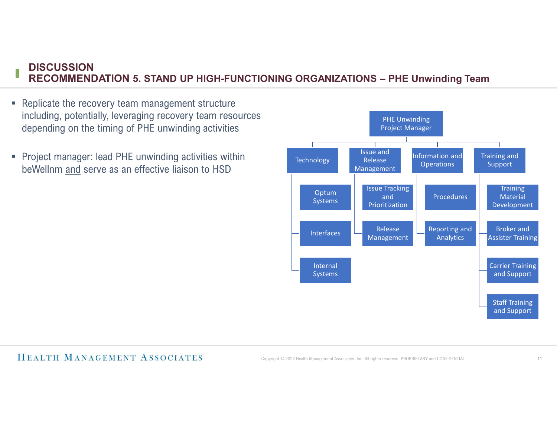# **DISCUSSION DISCUSSION<br>RECOMMENDATION 5. STAND UP HIGH-FUNCTIONING ORGANIZATIONS – PHE Unwinding Team**<br>eplicate the recovery team management structure<br>cluding, potentially, leveraging recovery team resources

- Replicate the recovery team management structure including, potentially, leveraging recovery team resources depending on the timing of PHE unwinding activities **BISCUSSION<br>
RECOMMENDATION 5. STAND UP HIGH-FUNCTIONING ORC**<br>
Replicate the recovery team management structure<br>
including, potentially, leveraging recovery team resources<br>
depending on the timing of PHE unwinding activiti
- Project manager: lead PHE unwinding activities within



## HEALTH MANAGEMENT ASSOCIATES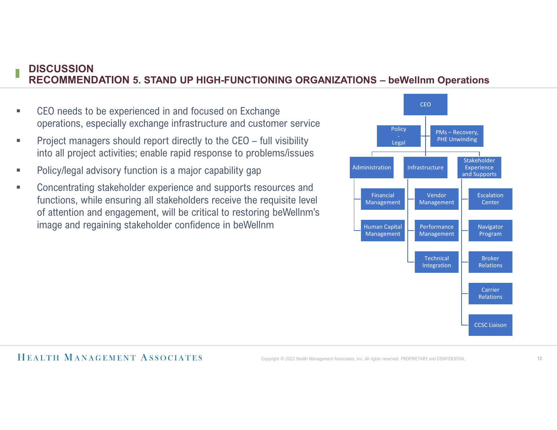# **DISCUSSION** DISCUSSION<br>RECOMMENDATION 5. STAND UP HIGH-FUNCTIONING ORGANIZATIONS – beWellnm Operations<br>CEO needs to be experienced in and focused on Exchange<br>operations. especially exchange infrastructure and customer service

- **EXECO needs to be experienced in and focused on Exchange** operations, especially exchange infrastructure and customer service
- into all project activities; enable rapid response to problems/issues
- **Policy/legal advisory function is a major capability gap**
- **EXECONCERTER CONCERTERT EXET** Concentrating stakeholder experience and supports resources and functions, while ensuring all stakeholders receive the requisite level of attention and engagement, will be critical to restoring beWellnm's image and regaining stakeholder confidence in beWellnm



## HEALTH MANAGEMENT ASSOCIATES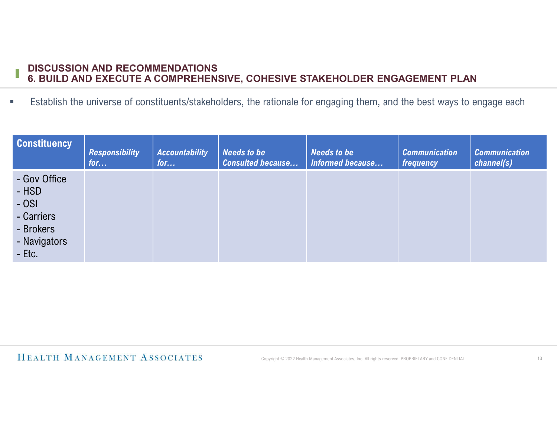## DISCUSSION AND RECOMMENDATIONS 6. BUILD AND EXECUTE A COMPREHENSIVE, COHESIVE STAKEHOLDER ENGAGEMENT PLAN

## HEALTH MANAGEMENT ASSOCIATES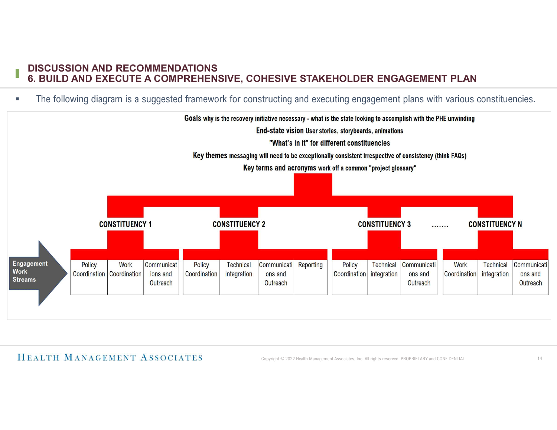## DISCUSSION AND RECOMMENDATIONS 6. BUILD AND EXECUTE A COMPREHENSIVE, COHESIVE STAKEHOLDER ENGAGEMENT PLAN

The following diagram is a suggested framework for constructing and executing engagement plans with various constituencies.



## HEALTH MANAGEMENT ASSOCIATES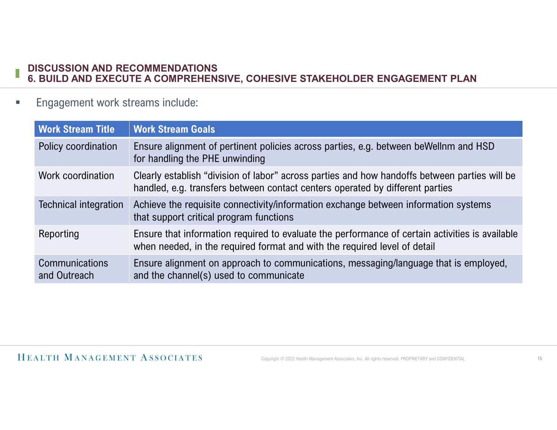## DISCUSSION AND RECOMMENDATIONS 6. BUILD AND EXECUTE A COMPREHENSIVE, COHESIVE STAKEHOLDER ENGAGEMENT PLAN

**Engagement work streams include:** 

|                                  | <b>ISCUSSION AND RECOMMENDATIONS</b>                                                                                                                                           |
|----------------------------------|--------------------------------------------------------------------------------------------------------------------------------------------------------------------------------|
|                                  |                                                                                                                                                                                |
|                                  |                                                                                                                                                                                |
|                                  | . BUILD AND EXECUTE A COMPREHENSIVE, COHESIVE STAKEHOLDER ENGAGEMENT PLAN                                                                                                      |
| Engagement work streams include: |                                                                                                                                                                                |
| <b>Work Stream Title</b>         | <b>Work Stream Goals</b>                                                                                                                                                       |
| Policy coordination              | Ensure alignment of pertinent policies across parties, e.g. between beWellnm and HSD<br>for handling the PHE unwinding                                                         |
| Work coordination                | Clearly establish "division of labor" across parties and how handoffs between parties will be<br>handled, e.g. transfers between contact centers operated by different parties |
| <b>Technical integration</b>     | Achieve the requisite connectivity/information exchange between information systems<br>that support critical program functions                                                 |
|                                  |                                                                                                                                                                                |
| Reporting                        | Ensure that information required to evaluate the performance of certain activities is available<br>when needed, in the required format and with the required level of detail   |
|                                  |                                                                                                                                                                                |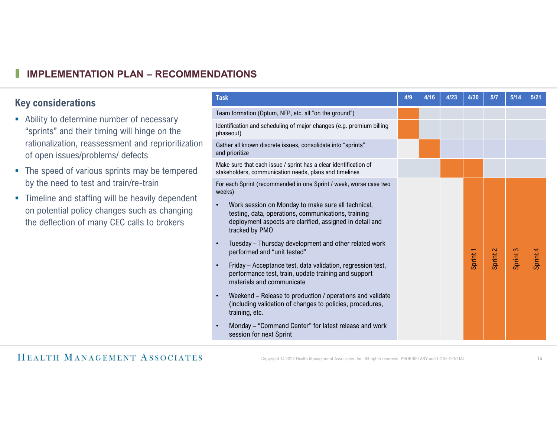## Key considerations

- "sprints" and their timing will hinge on the rationalization, reassessment and reprioritization of open issues/problems/ defects
- The speed of various sprints may be tempered by the need to test and train/re-train
- **F** Timeline and staffing will be heavily dependent on potential policy changes such as changing the deflection of many CEC calls to brokers

IMPLEMENTATION PLAN — RECOMMENDATIONS<br>  $\begin{array}{r}\n\text{Task}\n\end{array}\n\begin{array}{r}\n\text{Task}\n\end{array}\n\begin{array}{r}\n\text{Task}\n\end{array}\n\begin{array}{r}\n\text{Task}\n\end{array}\n\end{array}\n\begin{array}{r}\n\text{Rankion (Optum, NFP, etc. all "on the ground")}\n\end{array}$ **DATIONS**<br>Task Team formation (Optum, NFP, etc. all "on the ground")<br>Identification and scheduling of major changes (e.g. premium billing<br>phaseout) Team formation (Optum, NFP, etc. all "on the ground") **DATIONS**<br> **Task**<br> **Team formation (Optum, NFP, etc. all "on the ground")**<br> **Identification and scheduling of major changes (e.g. premium billing<br>
Gather all known discrete issues, consolidate into "sprints"<br>
Make sure tha** phaseout) Gather all known discrete issues, consolidate into "sprints" and prioritize Make sure that each issue / sprint has a clear identification of stakeholders, communication needs, plans and timelines For each Sprint (recommended in one Sprint / week, worse case two weeks) • Work session on Monday to make sure all technical, testing, data, operations, communications, training deployment aspects are clarified, assigned in detail and tracked by PMO **DATIONS**<br> **Task**<br> **Earn formation (Optum, NFP, etc. all "on the ground")**<br> **Learn formation (Optum, NFP, etc. all "on the ground")**<br> **Calderarization**<br> **Calderarization**<br> **Calderarization**<br> **Calderarization**<br> **Calderariza** performed and "unit tested" Task<br>
Fram formation (Optum, NFP, etc. all "on the ground")<br>
Hearm formation and scheduling of major changes (e.g. premium billing<br>
phaseout)<br>
Dather all known discrete issues, consolidate into "sprints"<br>
and prioritize<br>
a performance test, train, update training and support materials and communicate Fram formation (Optum, NFP, etc. all "on the ground")<br>
dentification and scheduling of major changes (e.g. premium billing<br>
phaseout)<br>
Gather all known discrete issues, consolidate into "sprints"<br>
and prioritize<br>
and profi (including validation of changes to policies, procedures, training, etc. Gather all known discrete issues, consolidate into "sprints"<br>
and prioritize<br>
Make sure that each issue / sprint has a clear identification of<br>
stakeholders, communication needs, plans and timelines<br>
weeks)<br>
• Work session performed and "unit tested"<br>
Friday – Acceptance test, data validation, regression test,<br>
performance test, train, update training and support<br>
materials and communicate<br>
Weekend – Release to production / operations and va Ability to determine number of necessary<br> **Ability** to determine number of necessary<br> **Ability** to determine number of necessary<br> **Relatification and scheduling of major changes (e.g. premium billing** 

## HEALTH MANAGEMENT ASSOCIATES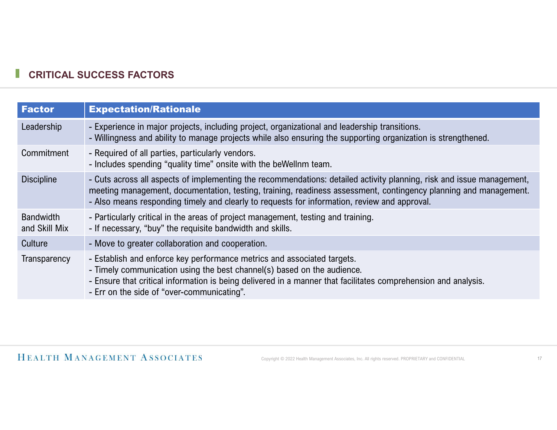# **CRITICAL SUCCESS FACTORS**

| <b>Factor</b>                     | <b>Expectation/Rationale</b>                                                                                                                                                                                                                                                                                                              |
|-----------------------------------|-------------------------------------------------------------------------------------------------------------------------------------------------------------------------------------------------------------------------------------------------------------------------------------------------------------------------------------------|
| Leadership                        | - Experience in major projects, including project, organizational and leadership transitions.<br>- Willingness and ability to manage projects while also ensuring the supporting organization is strengthened.                                                                                                                            |
| Commitment                        | - Required of all parties, particularly vendors.<br>- Includes spending "quality time" onsite with the beWellnm team.                                                                                                                                                                                                                     |
| <b>Discipline</b>                 | - Cuts across all aspects of implementing the recommendations: detailed activity planning, risk and issue management,<br>meeting management, documentation, testing, training, readiness assessment, contingency planning and management.<br>- Also means responding timely and clearly to requests for information, review and approval. |
| <b>Bandwidth</b><br>and Skill Mix | - Particularly critical in the areas of project management, testing and training.<br>- If necessary, "buy" the requisite bandwidth and skills.                                                                                                                                                                                            |
| Culture                           | - Move to greater collaboration and cooperation.                                                                                                                                                                                                                                                                                          |
| Transparency                      | - Establish and enforce key performance metrics and associated targets.<br>- Timely communication using the best channel(s) based on the audience.<br>- Ensure that critical information is being delivered in a manner that facilitates comprehension and analysis.<br>- Err on the side of "over-communicating".                        |